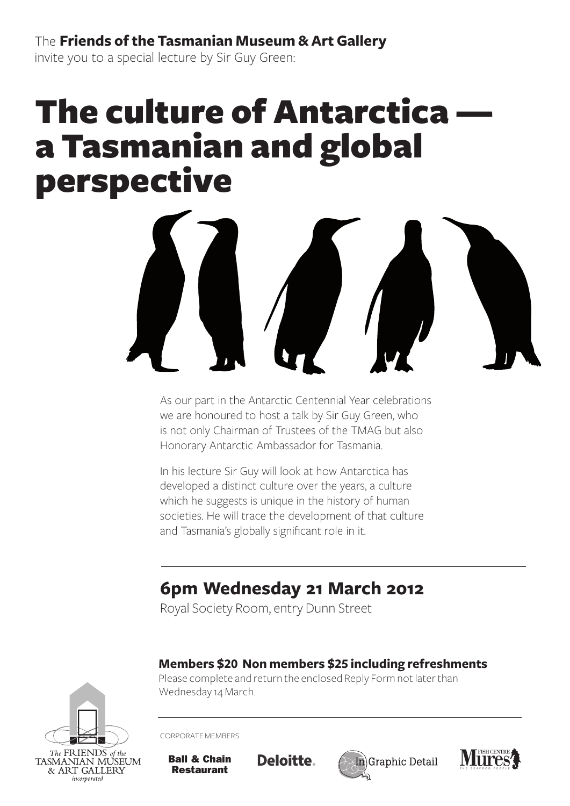The **Friends of the Tasmanian Museum & Art Gallery** invite you to a special lecture by Sir Guy Green:

# **The culture of Antarctica** a Tasmanian and global perspective



As our part in the Antarctic Centennial Year celebrations we are honoured to host a talk by Sir Guy Green, who is not only Chairman of Trustees of the TMAG but also Honorary Antarctic Ambassador for Tasmania.

In his lecture Sir Guy will look at how Antarctica has developed a distinct culture over the years, a culture which he suggests is unique in the history of human societies. He will trace the development of that culture and Tasmania's globally significant role in it.

## **6pm Wednesday 21 March 2012**

Royal Society Room, entry Dunn Street

#### **Members \$20 Non members \$25 including refreshments**

Please complete and return the enclosed Reply Form not later than Wednesday 14 March.



Corporate members

Restaurant

Ball & Chain

Deloitte.